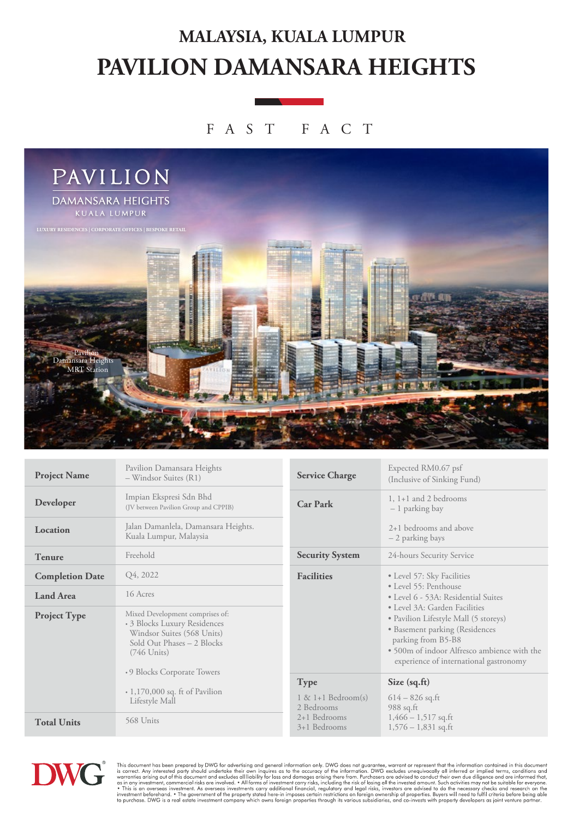## **PAVILION DAMANSARA HEIGHTS MALAYSIA, KUALA LUMPUR**

#### FAST FAC T



| <b>Project Name</b>    | Pavilion Damansara Heights<br>- Windsor Suites (R1)                                                                                                                                                                                  | <b>Service Charge</b>                                                 | Expected RM0.67 psf<br>(Inclusive of Sinking Fund)                                                                                                                                                                      |
|------------------------|--------------------------------------------------------------------------------------------------------------------------------------------------------------------------------------------------------------------------------------|-----------------------------------------------------------------------|-------------------------------------------------------------------------------------------------------------------------------------------------------------------------------------------------------------------------|
| Developer              | Impian Ekspresi Sdn Bhd<br>(JV between Pavilion Group and CPPIB)                                                                                                                                                                     | <b>Car Park</b>                                                       | $1, 1+1$ and 2 bedrooms<br>- 1 parking bay                                                                                                                                                                              |
| Location               | Jalan Damanlela, Damansara Heights.<br>Kuala Lumpur, Malaysia                                                                                                                                                                        |                                                                       | 2+1 bedrooms and above<br>- 2 parking bays                                                                                                                                                                              |
| <b>Tenure</b>          | Freehold                                                                                                                                                                                                                             | <b>Security System</b>                                                | 24-hours Security Service                                                                                                                                                                                               |
| <b>Completion Date</b> | Q4, 2022                                                                                                                                                                                                                             | <b>Facilities</b>                                                     | • Level 57: Sky Facilities                                                                                                                                                                                              |
| <b>Land Area</b>       | 16 Acres                                                                                                                                                                                                                             |                                                                       | • Level 55: Penthouse<br>• Level 6 - 53A: Residential Suites                                                                                                                                                            |
| <b>Project Type</b>    | Mixed Development comprises of:<br>• 3 Blocks Luxury Residences<br>Windsor Suites (568 Units)<br>Sold Out Phases - 2 Blocks<br>$(746$ Units)<br>•9 Blocks Corporate Towers<br>$\cdot$ 1,170,000 sq. ft of Pavilion<br>Lifestyle Mall |                                                                       | • Level 3A: Garden Facilities<br>• Pavilion Lifestyle Mall (5 storeys)<br>• Basement parking (Residences<br>parking from B5-B8<br>· 500m of indoor Alfresco ambience with the<br>experience of international gastronomy |
|                        |                                                                                                                                                                                                                                      | <b>Type</b>                                                           | Size $(sq.fit)$                                                                                                                                                                                                         |
|                        |                                                                                                                                                                                                                                      | $1 \& 1+1$ Bedroom(s)<br>2 Bedrooms<br>$2+1$ Bedrooms<br>3+1 Bedrooms | $614 - 826$ sq.ft<br>988 sq.ft<br>$1,466 - 1,517$ sq.ft<br>$1,576 - 1,831$ sq.ft                                                                                                                                        |
| <b>Total Units</b>     | 568 Units                                                                                                                                                                                                                            |                                                                       |                                                                                                                                                                                                                         |



This document has been prepared by DWG for advertising and general information only. DWG does not guarantee, warrant or represent that the information contained in this document is corrent. Any interested party should und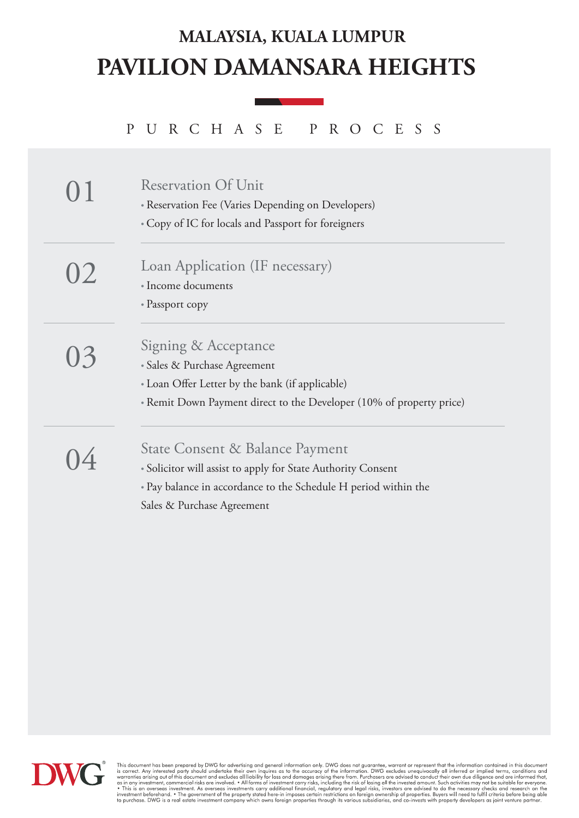## **PAVILION DAMANSARA HEIGHTS MALAYSIA, KUALA LUMPUR**

PURCHASE PROCESS

|    | <b>Reservation Of Unit</b><br>• Reservation Fee (Varies Depending on Developers)<br>• Copy of IC for locals and Passport for foreigners                                                          |
|----|--------------------------------------------------------------------------------------------------------------------------------------------------------------------------------------------------|
| 02 | Loan Application (IF necessary)<br>• Income documents<br>• Passport copy                                                                                                                         |
| 03 | Signing & Acceptance<br>• Sales & Purchase Agreement<br>• Loan Offer Letter by the bank (if applicable)<br>• Remit Down Payment direct to the Developer (10% of property price)                  |
|    | State Consent & Balance Payment<br>• Solicitor will assist to apply for State Authority Consent<br>• Pay balance in accordance to the Schedule H period within the<br>Sales & Purchase Agreement |



This document has been prepared by DWG for advertising and general information only. DWG does not guarantee, warrant or represent that the information contained in this document is correct. Any interested party should unde